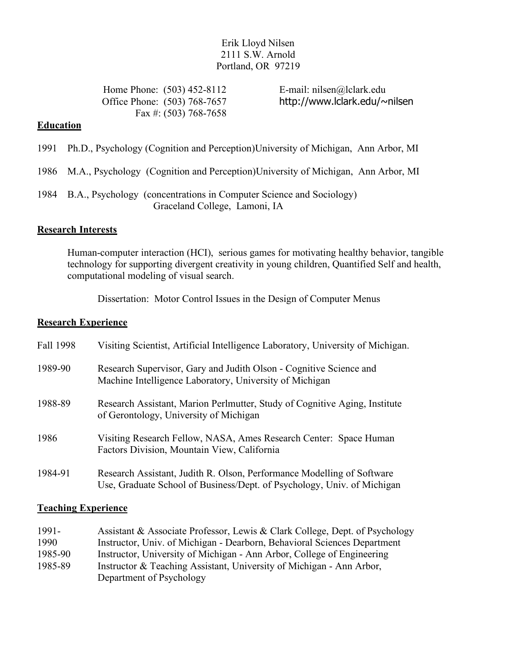## Erik Lloyd Nilsen 2111 S.W. Arnold Portland, OR 97219

Home Phone: (503) 452-8112 E-mail: nilsen@lclark.edu Fax #: (503) 768-7658

Office Phone: (503) 768-7657 http://www.lclark.edu/~nilsen

## **Education**

- 1991 Ph.D., Psychology (Cognition and Perception)University of Michigan, Ann Arbor, MI
- 1986 M.A., Psychology (Cognition and Perception)University of Michigan, Ann Arbor, MI
- 1984 B.A., Psychology (concentrations in Computer Science and Sociology) Graceland College, Lamoni, IA

## **Research Interests**

Human-computer interaction (HCI), serious games for motivating healthy behavior, tangible technology for supporting divergent creativity in young children, Quantified Self and health, computational modeling of visual search.

Dissertation: Motor Control Issues in the Design of Computer Menus

#### **Research Experience**

| Fall 1998 | Visiting Scientist, Artificial Intelligence Laboratory, University of Michigan.                                                                   |
|-----------|---------------------------------------------------------------------------------------------------------------------------------------------------|
| 1989-90   | Research Supervisor, Gary and Judith Olson - Cognitive Science and<br>Machine Intelligence Laboratory, University of Michigan                     |
| 1988-89   | Research Assistant, Marion Perlmutter, Study of Cognitive Aging, Institute<br>of Gerontology, University of Michigan                              |
| 1986      | Visiting Research Fellow, NASA, Ames Research Center: Space Human<br>Factors Division, Mountain View, California                                  |
| 1984-91   | Research Assistant, Judith R. Olson, Performance Modelling of Software<br>Use, Graduate School of Business/Dept. of Psychology, Univ. of Michigan |

## **Teaching Experience**

| 1991-   | Assistant & Associate Professor, Lewis & Clark College, Dept. of Psychology |
|---------|-----------------------------------------------------------------------------|
| 1990    | Instructor, Univ. of Michigan - Dearborn, Behavioral Sciences Department    |
| 1985-90 | Instructor, University of Michigan - Ann Arbor, College of Engineering      |
| 1985-89 | Instructor & Teaching Assistant, University of Michigan - Ann Arbor,        |
|         | Department of Psychology                                                    |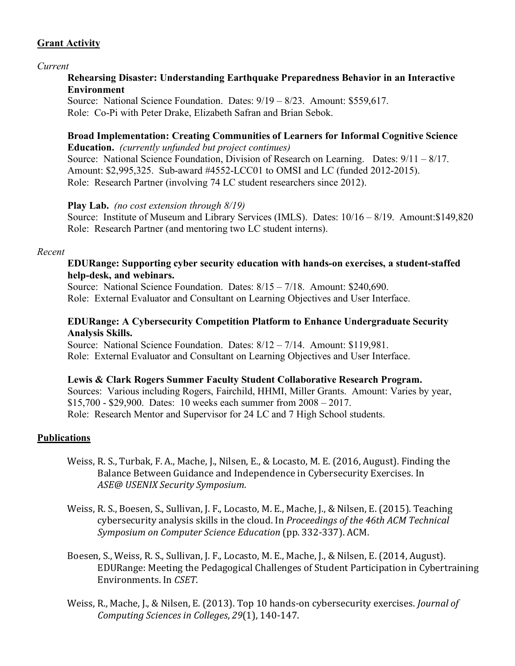# **Grant Activity**

#### *Current*

## **Rehearsing Disaster: Understanding Earthquake Preparedness Behavior in an Interactive Environment**

Source: National Science Foundation. Dates: 9/19 – 8/23. Amount: \$559,617. Role: Co-Pi with Peter Drake, Elizabeth Safran and Brian Sebok.

# **Broad Implementation: Creating Communities of Learners for Informal Cognitive Science**

**Education.** *(currently unfunded but project continues)* Source: National Science Foundation, Division of Research on Learning. Dates: 9/11 – 8/17. Amount: \$2,995,325. Sub-award #4552-LCC01 to OMSI and LC (funded 2012-2015). Role: Research Partner (involving 74 LC student researchers since 2012).

## **Play Lab.** *(no cost extension through 8/19)*

Source: Institute of Museum and Library Services (IMLS). Dates: 10/16 – 8/19. Amount:\$149,820 Role: Research Partner (and mentoring two LC student interns).

#### *Recent*

## **EDURange: Supporting cyber security education with hands-on exercises, a student-staffed help-desk, and webinars.**

Source: National Science Foundation. Dates:  $8/15 - 7/18$ . Amount: \$240,690. Role: External Evaluator and Consultant on Learning Objectives and User Interface.

## **EDURange: A Cybersecurity Competition Platform to Enhance Undergraduate Security Analysis Skills.**

Source: National Science Foundation. Dates: 8/12 – 7/14. Amount: \$119,981. Role: External Evaluator and Consultant on Learning Objectives and User Interface.

## **Lewis & Clark Rogers Summer Faculty Student Collaborative Research Program.**

Sources: Various including Rogers, Fairchild, HHMI, Miller Grants. Amount: Varies by year, \$15,700 - \$29,900. Dates: 10 weeks each summer from 2008 – 2017. Role: Research Mentor and Supervisor for 24 LC and 7 High School students.

## **Publications**

- Weiss, R. S., Turbak, F. A., Mache, J., Nilsen, E., & Locasto, M. E. (2016, August). Finding the Balance Between Guidance and Independence in Cybersecurity Exercises. In *ASE@ USENIX Security Symposium*.
- Weiss, R. S., Boesen, S., Sullivan, J. F., Locasto, M. E., Mache, J., & Nilsen, E. (2015). Teaching cybersecurity analysis skills in the cloud. In *Proceedings of the 46th ACM Technical Symposium on Computer Science Education* (pp. 332-337). ACM.
- Boesen, S., Weiss, R. S., Sullivan, J. F., Locasto, M. E., Mache, J., & Nilsen, E. (2014, August). EDURange: Meeting the Pedagogical Challenges of Student Participation in Cybertraining Environments. In *CSET*.
- Weiss, R., Mache, J., & Nilsen, E. (2013). Top 10 hands-on cybersecurity exercises. *Journal of Computing Sciences in Colleges*, *29*(1), 140-147.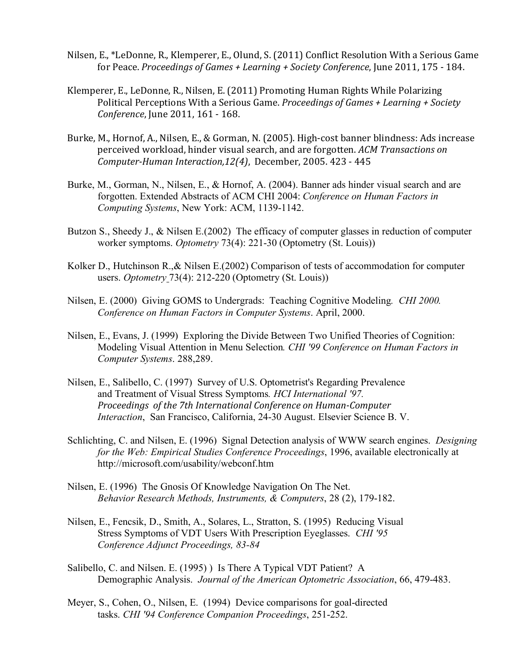- Nilsen, E., \*LeDonne, R., Klemperer, E., Olund, S. (2011) Conflict Resolution With a Serious Game for Peace. *Proceedings of Games + Learning + Society Conference*, June 2011, 175 - 184.
- Klemperer, E., LeDonne, R., Nilsen, E. (2011) Promoting Human Rights While Polarizing Political Perceptions With a Serious Game. *Proceedings of Games + Learning + Society Conference*, June 2011, 161 - 168.
- Burke, M., Hornof, A., Nilsen, E., & Gorman, N. (2005). High-cost banner blindness: Ads increase perceived workload, hinder visual search, and are forgotten. *ACM Transactions on Computer-Human Interaction,12(4)*, December, 2005. 423 - 445
- Burke, M., Gorman, N., Nilsen, E., & Hornof, A. (2004). Banner ads hinder visual search and are forgotten. Extended Abstracts of ACM CHI 2004: *Conference on Human Factors in Computing Systems*, New York: ACM, 1139-1142.
- Butzon S., Sheedy J., & Nilsen E.(2002) The efficacy of computer glasses in reduction of computer worker symptoms. *Optometry* 73(4): 221-30 (Optometry (St. Louis))
- Kolker D., Hutchinson R., & Nilsen E.(2002) Comparison of tests of accommodation for computer users. *Optometry* 73(4): 212-220 (Optometry (St. Louis))
- Nilsen, E. (2000) Giving GOMS to Undergrads: Teaching Cognitive Modeling*. CHI 2000. Conference on Human Factors in Computer Systems*. April, 2000.
- Nilsen, E., Evans, J. (1999) Exploring the Divide Between Two Unified Theories of Cognition: Modeling Visual Attention in Menu Selection*. CHI '99 Conference on Human Factors in Computer Systems*. 288,289.
- Nilsen, E., Salibello, C. (1997) Survey of U.S. Optometrist's Regarding Prevalence and Treatment of Visual Stress Symptoms*. HCI International '97. Proceedings of the 7th International Conference on Human-Computer Interaction*, San Francisco, California, 24-30 August. Elsevier Science B. V.
- Schlichting, C. and Nilsen, E. (1996) Signal Detection analysis of WWW search engines. *Designing for the Web: Empirical Studies Conference Proceedings*, 1996, available electronically at http://microsoft.com/usability/webconf.htm
- Nilsen, E. (1996) The Gnosis Of Knowledge Navigation On The Net. *Behavior Research Methods, Instruments, & Computers*, 28 (2), 179-182.
- Nilsen, E., Fencsik, D., Smith, A., Solares, L., Stratton, S. (1995) Reducing Visual Stress Symptoms of VDT Users With Prescription Eyeglasses. *CHI '95 Conference Adjunct Proceedings, 83-84*
- Salibello, C. and Nilsen. E. (1995) ) Is There A Typical VDT Patient? A Demographic Analysis. *Journal of the American Optometric Association*, 66, 479-483.
- Meyer, S., Cohen, O., Nilsen, E. (1994) Device comparisons for goal-directed tasks. *CHI '94 Conference Companion Proceedings*, 251-252.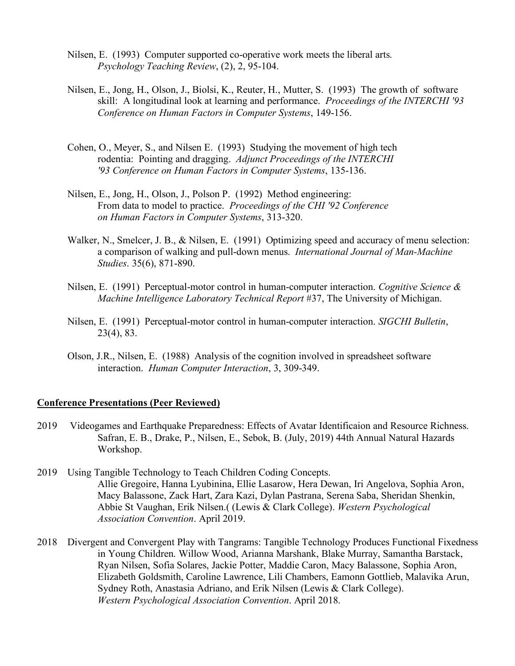- Nilsen, E. (1993) Computer supported co-operative work meets the liberal arts. *Psychology Teaching Review*, (2), 2, 95-104.
- Nilsen, E., Jong, H., Olson, J., Biolsi, K., Reuter, H., Mutter, S. (1993) The growth of software skill: A longitudinal look at learning and performance. *Proceedings of the INTERCHI '93 Conference on Human Factors in Computer Systems*, 149-156.
- Cohen, O., Meyer, S., and Nilsen E. (1993) Studying the movement of high tech rodentia: Pointing and dragging. *Adjunct Proceedings of the INTERCHI '93 Conference on Human Factors in Computer Systems*, 135-136.
- Nilsen, E., Jong, H., Olson, J., Polson P. (1992) Method engineering: From data to model to practice. *Proceedings of the CHI '92 Conference on Human Factors in Computer Systems*, 313-320.
- Walker, N., Smelcer, J. B., & Nilsen, E. (1991) Optimizing speed and accuracy of menu selection: a comparison of walking and pull-down menus. *International Journal of Man-Machine Studies*. 35(6), 871-890.
- Nilsen, E. (1991) Perceptual-motor control in human-computer interaction. *Cognitive Science & Machine Intelligence Laboratory Technical Report* #37, The University of Michigan.
- Nilsen, E. (1991) Perceptual-motor control in human-computer interaction. *SIGCHI Bulletin*, 23(4), 83.
- Olson, J.R., Nilsen, E. (1988) Analysis of the cognition involved in spreadsheet software interaction. *Human Computer Interaction*, 3, 309-349.

#### **Conference Presentations (Peer Reviewed)**

- 2019 Videogames and Earthquake Preparedness: Effects of Avatar Identificaion and Resource Richness. Safran, E. B., Drake, P., Nilsen, E., Sebok, B. (July, 2019) 44th Annual Natural Hazards Workshop.
- 2019 Using Tangible Technology to Teach Children Coding Concepts. Allie Gregoire, Hanna Lyubinina, Ellie Lasarow, Hera Dewan, Iri Angelova, Sophia Aron, Macy Balassone, Zack Hart, Zara Kazi, Dylan Pastrana, Serena Saba, Sheridan Shenkin, Abbie St Vaughan, Erik Nilsen.( (Lewis & Clark College). *Western Psychological Association Convention*. April 2019.
- 2018 Divergent and Convergent Play with Tangrams: Tangible Technology Produces Functional Fixedness in Young Children. Willow Wood, Arianna Marshank, Blake Murray, Samantha Barstack, Ryan Nilsen, Sofia Solares, Jackie Potter, Maddie Caron, Macy Balassone, Sophia Aron, Elizabeth Goldsmith, Caroline Lawrence, Lili Chambers, Eamonn Gottlieb, Malavika Arun, Sydney Roth, Anastasia Adriano, and Erik Nilsen (Lewis & Clark College). *Western Psychological Association Convention*. April 2018.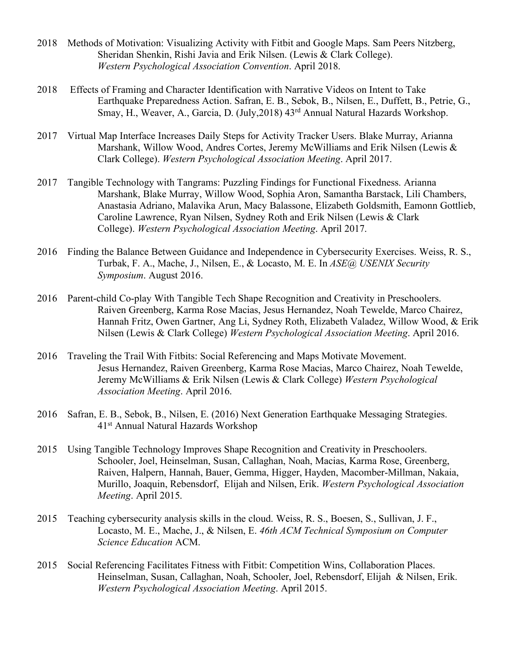- 2018 Methods of Motivation: Visualizing Activity with Fitbit and Google Maps. Sam Peers Nitzberg, Sheridan Shenkin, Rishi Javia and Erik Nilsen. (Lewis & Clark College). *Western Psychological Association Convention*. April 2018.
- 2018 Effects of Framing and Character Identification with Narrative Videos on Intent to Take Earthquake Preparedness Action. Safran, E. B., Sebok, B., Nilsen, E., Duffett, B., Petrie, G., Smay, H., Weaver, A., Garcia, D. (July,2018) 43rd Annual Natural Hazards Workshop.
- 2017 Virtual Map Interface Increases Daily Steps for Activity Tracker Users. Blake Murray, Arianna Marshank, Willow Wood, Andres Cortes, Jeremy McWilliams and Erik Nilsen (Lewis & Clark College). *Western Psychological Association Meeting*. April 2017.
- 2017 Tangible Technology with Tangrams: Puzzling Findings for Functional Fixedness. Arianna Marshank, Blake Murray, Willow Wood, Sophia Aron, Samantha Barstack, Lili Chambers, Anastasia Adriano, Malavika Arun, Macy Balassone, Elizabeth Goldsmith, Eamonn Gottlieb, Caroline Lawrence, Ryan Nilsen, Sydney Roth and Erik Nilsen (Lewis & Clark College). *Western Psychological Association Meeting*. April 2017.
- 2016 Finding the Balance Between Guidance and Independence in Cybersecurity Exercises. Weiss, R. S., Turbak, F. A., Mache, J., Nilsen, E., & Locasto, M. E. In *ASE@ USENIX Security Symposium*. August 2016.
- 2016 Parent-child Co-play With Tangible Tech Shape Recognition and Creativity in Preschoolers. Raiven Greenberg, Karma Rose Macias, Jesus Hernandez, Noah Tewelde, Marco Chairez, Hannah Fritz, Owen Gartner, Ang Li, Sydney Roth, Elizabeth Valadez, Willow Wood, & Erik Nilsen (Lewis & Clark College) *Western Psychological Association Meeting*. April 2016.
- 2016 Traveling the Trail With Fitbits: Social Referencing and Maps Motivate Movement. Jesus Hernandez, Raiven Greenberg, Karma Rose Macias, Marco Chairez, Noah Tewelde, Jeremy McWilliams & Erik Nilsen (Lewis & Clark College) *Western Psychological Association Meeting*. April 2016.
- 2016 Safran, E. B., Sebok, B., Nilsen, E. (2016) Next Generation Earthquake Messaging Strategies. 41st Annual Natural Hazards Workshop
- 2015 Using Tangible Technology Improves Shape Recognition and Creativity in Preschoolers. Schooler, Joel, Heinselman, Susan, Callaghan, Noah, Macias, Karma Rose, Greenberg, Raiven, Halpern, Hannah, Bauer, Gemma, Higger, Hayden, Macomber-Millman, Nakaia, Murillo, Joaquin, Rebensdorf, Elijah and Nilsen, Erik. *Western Psychological Association Meeting*. April 2015.
- 2015 Teaching cybersecurity analysis skills in the cloud. Weiss, R. S., Boesen, S., Sullivan, J. F., Locasto, M. E., Mache, J., & Nilsen, E. *46th ACM Technical Symposium on Computer Science Education* ACM.
- 2015 Social Referencing Facilitates Fitness with Fitbit: Competition Wins, Collaboration Places. Heinselman, Susan, Callaghan, Noah, Schooler, Joel, Rebensdorf, Elijah & Nilsen, Erik. *Western Psychological Association Meeting*. April 2015.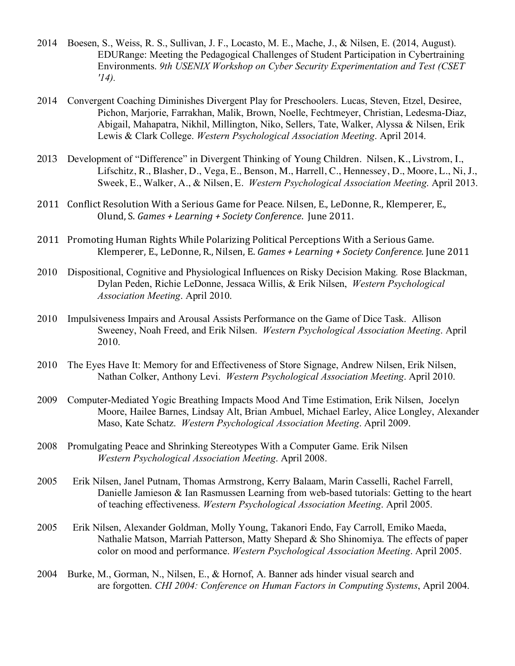- 2014 Boesen, S., Weiss, R. S., Sullivan, J. F., Locasto, M. E., Mache, J., & Nilsen, E. (2014, August). EDURange: Meeting the Pedagogical Challenges of Student Participation in Cybertraining Environments. *9th USENIX Workshop on Cyber Security Experimentation and Test (CSET '14).*
- 2014 Convergent Coaching Diminishes Divergent Play for Preschoolers. Lucas, Steven, Etzel, Desiree, Pichon, Marjorie, Farrakhan, Malik, Brown, Noelle, Fechtmeyer, Christian, Ledesma-Diaz, Abigail, Mahapatra, Nikhil, Millington, Niko, Sellers, Tate, Walker, Alyssa & Nilsen, Erik Lewis & Clark College. *Western Psychological Association Meeting*. April 2014.
- 2013 Development of "Difference" in Divergent Thinking of Young Children. Nilsen, K., Livstrom, I., Lifschitz, R., Blasher, D., Vega, E., Benson, M., Harrell, C., Hennessey, D., Moore, L., Ni, J., Sweek, E., Walker, A., & Nilsen, E. *Western Psychological Association Meeting*. April 2013.
- 2011 Conflict Resolution With a Serious Game for Peace. Nilsen, E., LeDonne, R., Klemperer, E., Olund, S. *Games* + Learning + Society Conference. June 2011.
- 2011 Promoting Human Rights While Polarizing Political Perceptions With a Serious Game. Klemperer, E., LeDonne, R., Nilsen, E. *Games* + Learning + Society Conference. June 2011
- 2010 Dispositional, Cognitive and Physiological Influences on Risky Decision Making*.* Rose Blackman, Dylan Peden, Richie LeDonne, Jessaca Willis, & Erik Nilsen, *Western Psychological Association Meeting*. April 2010.
- 2010 Impulsiveness Impairs and Arousal Assists Performance on the Game of Dice Task. Allison Sweeney, Noah Freed, and Erik Nilsen. *Western Psychological Association Meeting*. April 2010.
- 2010 The Eyes Have It: Memory for and Effectiveness of Store Signage, Andrew Nilsen, Erik Nilsen, Nathan Colker, Anthony Levi. *Western Psychological Association Meeting*. April 2010.
- 2009 Computer-Mediated Yogic Breathing Impacts Mood And Time Estimation, Erik Nilsen, Jocelyn Moore, Hailee Barnes, Lindsay Alt, Brian Ambuel, Michael Earley, Alice Longley, Alexander Maso, Kate Schatz. *Western Psychological Association Meeting*. April 2009.
- 2008 Promulgating Peace and Shrinking Stereotypes With a Computer Game. Erik Nilsen *Western Psychological Association Meeting*. April 2008.
- 2005 Erik Nilsen, Janel Putnam, Thomas Armstrong, Kerry Balaam, Marin Casselli, Rachel Farrell, Danielle Jamieson & Ian Rasmussen Learning from web-based tutorials: Getting to the heart of teaching effectiveness. *Western Psychological Association Meeting*. April 2005.
- 2005 Erik Nilsen, Alexander Goldman, Molly Young, Takanori Endo, Fay Carroll, Emiko Maeda, Nathalie Matson, Marriah Patterson, Matty Shepard & Sho Shinomiya. The effects of paper color on mood and performance. *Western Psychological Association Meeting*. April 2005.
- 2004 Burke, M., Gorman, N., Nilsen, E., & Hornof, A. Banner ads hinder visual search and are forgotten. *CHI 2004: Conference on Human Factors in Computing Systems*, April 2004.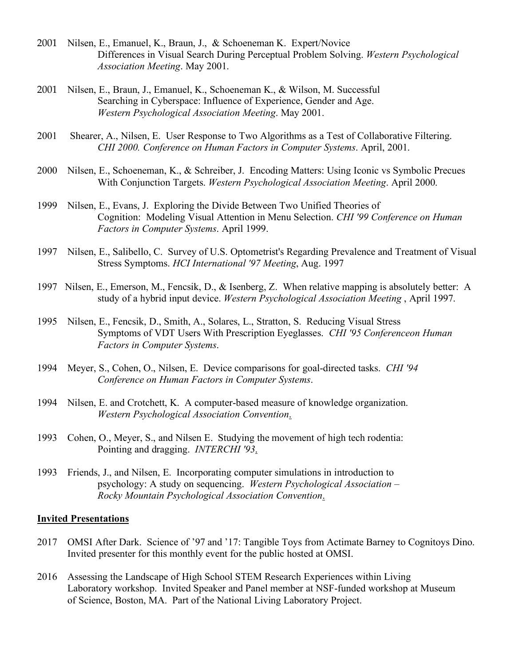- 2001 Nilsen, E., Emanuel, K., Braun, J., & Schoeneman K. Expert/Novice Differences in Visual Search During Perceptual Problem Solving. *Western Psychological Association Meeting*. May 2001.
- 2001 Nilsen, E., Braun, J., Emanuel, K., Schoeneman K., & Wilson, M. Successful Searching in Cyberspace: Influence of Experience, Gender and Age. *Western Psychological Association Meeting*. May 2001.
- 2001 Shearer, A., Nilsen, E. User Response to Two Algorithms as a Test of Collaborative Filtering. *CHI 2000. Conference on Human Factors in Computer Systems*. April, 2001.
- 2000 Nilsen, E., Schoeneman, K., & Schreiber, J. Encoding Matters: Using Iconic vs Symbolic Precues With Conjunction Targets. *Western Psychological Association Meeting*. April 2000.
- 1999 Nilsen, E., Evans, J. Exploring the Divide Between Two Unified Theories of Cognition: Modeling Visual Attention in Menu Selection. *CHI '99 Conference on Human Factors in Computer Systems*. April 1999.
- 1997 Nilsen, E., Salibello, C. Survey of U.S. Optometrist's Regarding Prevalence and Treatment of Visual Stress Symptoms. *HCI International '97 Meeting*, Aug. 1997
- 1997 Nilsen, E., Emerson, M., Fencsik, D., & Isenberg, Z. When relative mapping is absolutely better: A study of a hybrid input device. *Western Psychological Association Meeting* , April 1997.
- 1995 Nilsen, E., Fencsik, D., Smith, A., Solares, L., Stratton, S. Reducing Visual Stress Symptoms of VDT Users With Prescription Eyeglasses. *CHI '95 Conferenceon Human Factors in Computer Systems*.
- 1994 Meyer, S., Cohen, O., Nilsen, E. Device comparisons for goal-directed tasks. *CHI '94 Conference on Human Factors in Computer Systems*.
- 1994 Nilsen, E. and Crotchett, K. A computer-based measure of knowledge organization. *Western Psychological Association Convention*.
- 1993 Cohen, O., Meyer, S., and Nilsen E. Studying the movement of high tech rodentia: Pointing and dragging. *INTERCHI '93*.
- 1993 Friends, J., and Nilsen, E. Incorporating computer simulations in introduction to psychology: A study on sequencing. *Western Psychological Association – Rocky Mountain Psychological Association Convention*.

## **Invited Presentations**

- 2017 OMSI After Dark. Science of '97 and '17: Tangible Toys from Actimate Barney to Cognitoys Dino. Invited presenter for this monthly event for the public hosted at OMSI.
- 2016 Assessing the Landscape of High School STEM Research Experiences within Living Laboratory workshop. Invited Speaker and Panel member at NSF-funded workshop at Museum of Science, Boston, MA. Part of the National Living Laboratory Project.